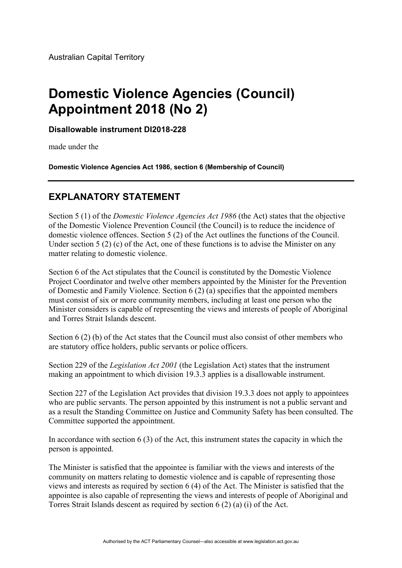## **Domestic Violence Agencies (Council) Appointment 2018 (No 2)**

**Disallowable instrument DI2018-228**

made under the

**Domestic Violence Agencies Act 1986, section 6 (Membership of Council)** 

## **EXPLANATORY STATEMENT**

Section 5 (1) of the *Domestic Violence Agencies Act 1986* (the Act) states that the objective of the Domestic Violence Prevention Council (the Council) is to reduce the incidence of domestic violence offences. Section 5 (2) of the Act outlines the functions of the Council. Under section 5 (2) (c) of the Act, one of these functions is to advise the Minister on any matter relating to domestic violence.

Section 6 of the Act stipulates that the Council is constituted by the Domestic Violence Project Coordinator and twelve other members appointed by the Minister for the Prevention of Domestic and Family Violence. Section 6 (2) (a) specifies that the appointed members must consist of six or more community members, including at least one person who the Minister considers is capable of representing the views and interests of people of Aboriginal and Torres Strait Islands descent.

Section 6 (2) (b) of the Act states that the Council must also consist of other members who are statutory office holders, public servants or police officers.

Section 229 of the *Legislation Act 2001* (the Legislation Act) states that the instrument making an appointment to which division 19.3.3 applies is a disallowable instrument.

Section 227 of the Legislation Act provides that division 19.3.3 does not apply to appointees who are public servants. The person appointed by this instrument is not a public servant and as a result the Standing Committee on Justice and Community Safety has been consulted. The Committee supported the appointment.

In accordance with section 6 (3) of the Act, this instrument states the capacity in which the person is appointed.

The Minister is satisfied that the appointee is familiar with the views and interests of the community on matters relating to domestic violence and is capable of representing those views and interests as required by section 6 (4) of the Act. The Minister is satisfied that the appointee is also capable of representing the views and interests of people of Aboriginal and Torres Strait Islands descent as required by section 6 (2) (a) (i) of the Act.